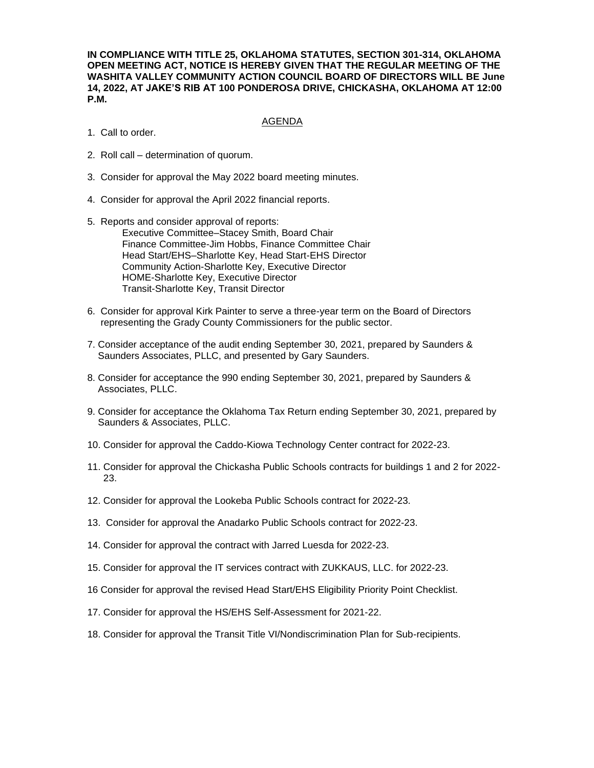**IN COMPLIANCE WITH TITLE 25, OKLAHOMA STATUTES, SECTION 301-314, OKLAHOMA OPEN MEETING ACT, NOTICE IS HEREBY GIVEN THAT THE REGULAR MEETING OF THE WASHITA VALLEY COMMUNITY ACTION COUNCIL BOARD OF DIRECTORS WILL BE June 14, 2022, AT JAKE'S RIB AT 100 PONDEROSA DRIVE, CHICKASHA, OKLAHOMA AT 12:00 P.M.**

## AGENDA

- 1. Call to order.
- 2. Roll call determination of quorum.
- 3. Consider for approval the May 2022 board meeting minutes.
- 4. Consider for approval the April 2022 financial reports.
- 5. Reports and consider approval of reports: Executive Committee–Stacey Smith, Board Chair Finance Committee-Jim Hobbs, Finance Committee Chair Head Start/EHS–Sharlotte Key, Head Start-EHS Director Community Action-Sharlotte Key, Executive Director HOME-Sharlotte Key, Executive Director Transit-Sharlotte Key, Transit Director
- 6. Consider for approval Kirk Painter to serve a three-year term on the Board of Directors representing the Grady County Commissioners for the public sector.
- 7. Consider acceptance of the audit ending September 30, 2021, prepared by Saunders & Saunders Associates, PLLC, and presented by Gary Saunders.
- 8. Consider for acceptance the 990 ending September 30, 2021, prepared by Saunders & Associates, PLLC.
- 9. Consider for acceptance the Oklahoma Tax Return ending September 30, 2021, prepared by Saunders & Associates, PLLC.
- 10. Consider for approval the Caddo-Kiowa Technology Center contract for 2022-23.
- 11. Consider for approval the Chickasha Public Schools contracts for buildings 1 and 2 for 2022- 23.
- 12. Consider for approval the Lookeba Public Schools contract for 2022-23.
- 13. Consider for approval the Anadarko Public Schools contract for 2022-23.
- 14. Consider for approval the contract with Jarred Luesda for 2022-23.
- 15. Consider for approval the IT services contract with ZUKKAUS, LLC. for 2022-23.
- 16 Consider for approval the revised Head Start/EHS Eligibility Priority Point Checklist.
- 17. Consider for approval the HS/EHS Self-Assessment for 2021-22.
- 18. Consider for approval the Transit Title VI/Nondiscrimination Plan for Sub-recipients.